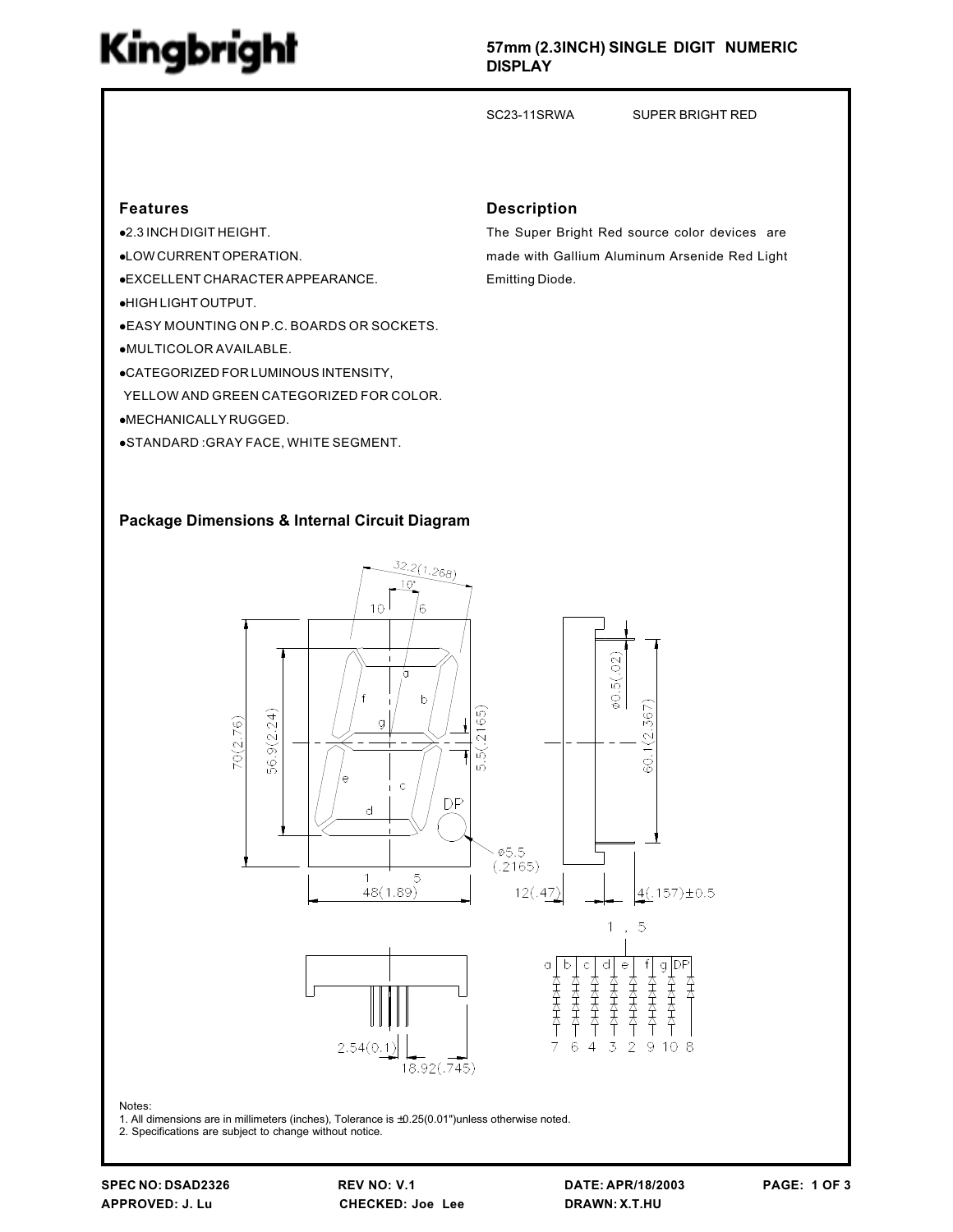# Kingbright

#### 57mm (2.3INCH) SINGLE DIGIT NUMERIC DISPLAY

SC23-11SRWA SUPER BRIGHT RED

#### Features

- $•2.3$  INCH DIGIT HEIGHT.
- **.** LOW CURRENT OPERATION.
- **.EXCELLENT CHARACTER APPEARANCE.**
- **•HIGH LIGHT OUTPUT.**
- lEASY MOUNTING ON P.C. BOARDS OR SOCKETS.
- $\bullet$ MULTICOLOR AVAILABLE.
- **.**CATEGORIZED FOR LUMINOUS INTENSITY,
- YELLOW AND GREEN CATEGORIZED FOR COLOR.
- **•MECHANICALLY RUGGED.**
- **.STANDARD: GRAY FACE, WHITE SEGMENT.**

## The Super Bright Red source color devices are

Description

made with Gallium Aluminum Arsenide Red Light Emitting Diode.

#### Package Dimensions & Internal Circuit Diagram



2. Specifications are subject to change without notice.

Notes: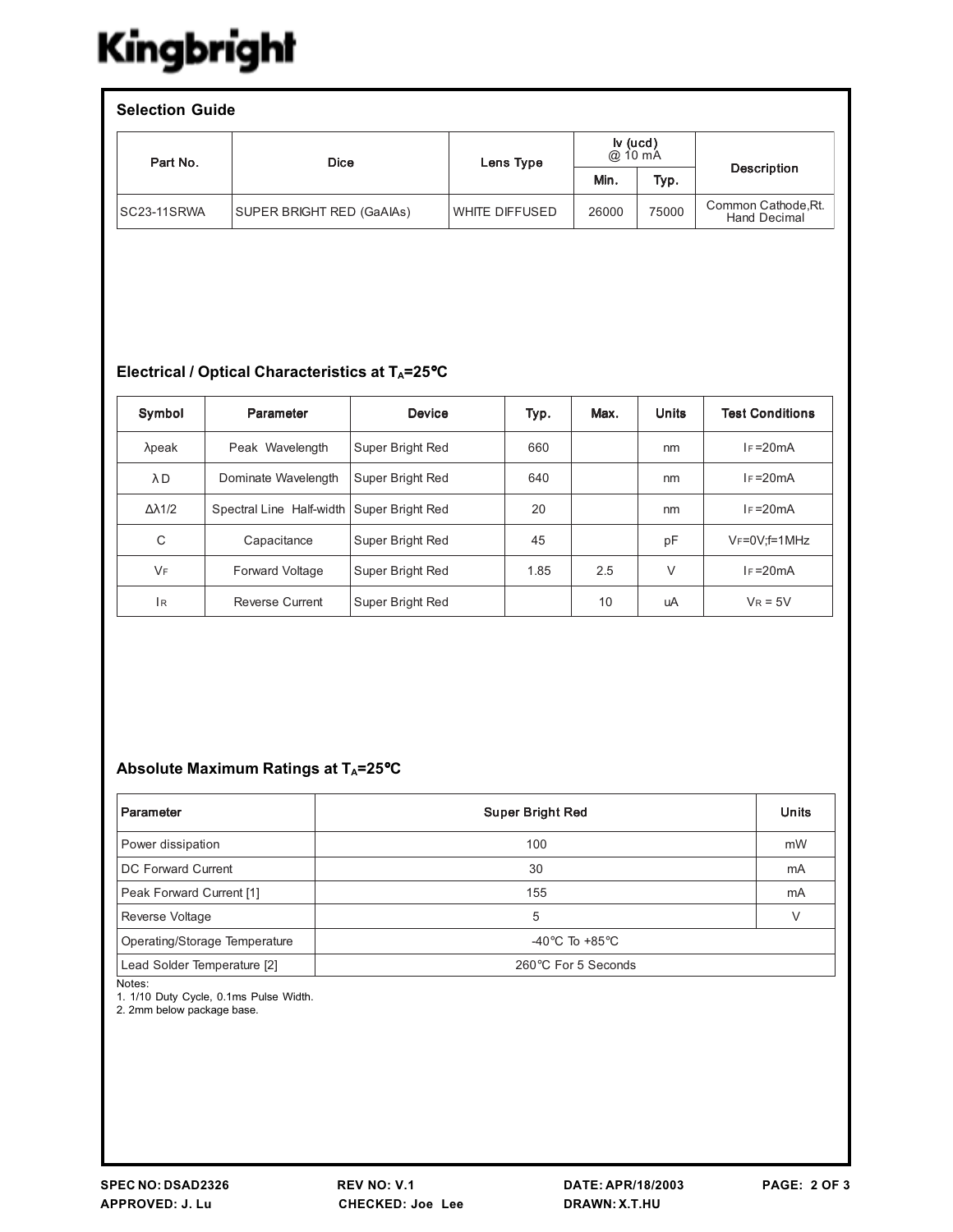## Kingbright

| <b>Selection Guide</b> |                                  |                |                       |       |                                            |  |  |  |  |
|------------------------|----------------------------------|----------------|-----------------------|-------|--------------------------------------------|--|--|--|--|
| Part No.               | <b>Dice</b>                      | Lens Type      | $iv$ (ucd)<br>@ 10 mA |       |                                            |  |  |  |  |
|                        |                                  |                | Min.                  | Typ.  | <b>Description</b>                         |  |  |  |  |
| ISC23-11SRWA           | <b>SUPER BRIGHT RED (GaAIAs)</b> | WHITE DIFFUSED | 26000                 | 75000 | Common Cathode, Rt.<br><b>Hand Decimal</b> |  |  |  |  |

### Electrical / Optical Characteristics at TA=25°C

| Symbol               | Parameter                | <b>Device</b>    | Typ. | Max. | <b>Units</b> | <b>Test Conditions</b> |
|----------------------|--------------------------|------------------|------|------|--------------|------------------------|
| $λ$ peak             | Peak Wavelength          | Super Bright Red | 660  |      | nm           | $I_F = 20mA$           |
| λD                   | Dominate Wavelength      | Super Bright Red | 640  |      | nm           | $I_F = 20mA$           |
| $\Delta \lambda$ 1/2 | Spectral Line Half-width | Super Bright Red | 20   |      | nm           | $I_F = 20mA$           |
| C                    | Capacitance              | Super Bright Red | 45   |      | рF           | $V_F = 0V$ : f = 1 MHz |
| <b>VF</b>            | <b>Forward Voltage</b>   | Super Bright Red | 1.85 | 2.5  | $\vee$       | $I_F = 20mA$           |
| <b>IR</b>            | Reverse Current          | Super Bright Red |      | 10   | uA           | $V_R = 5V$             |

### Absolute Maximum Ratings at TA=25°C

| Parameter                               | <b>Super Bright Red</b>            |    |  |
|-----------------------------------------|------------------------------------|----|--|
| Power dissipation                       | 100                                | mW |  |
| DC Forward Current                      | 30                                 | mA |  |
| Peak Forward Current [1]                | 155                                | mA |  |
| Reverse Voltage                         | 5                                  | V  |  |
| Operating/Storage Temperature           | -40 $\degree$ C To +85 $\degree$ C |    |  |
| Lead Solder Temperature [2]<br>$\cdots$ | 260°C For 5 Seconds                |    |  |

Notes:

1. 1/10 Duty Cycle, 0.1ms Pulse Width.

2. 2mm below package base.